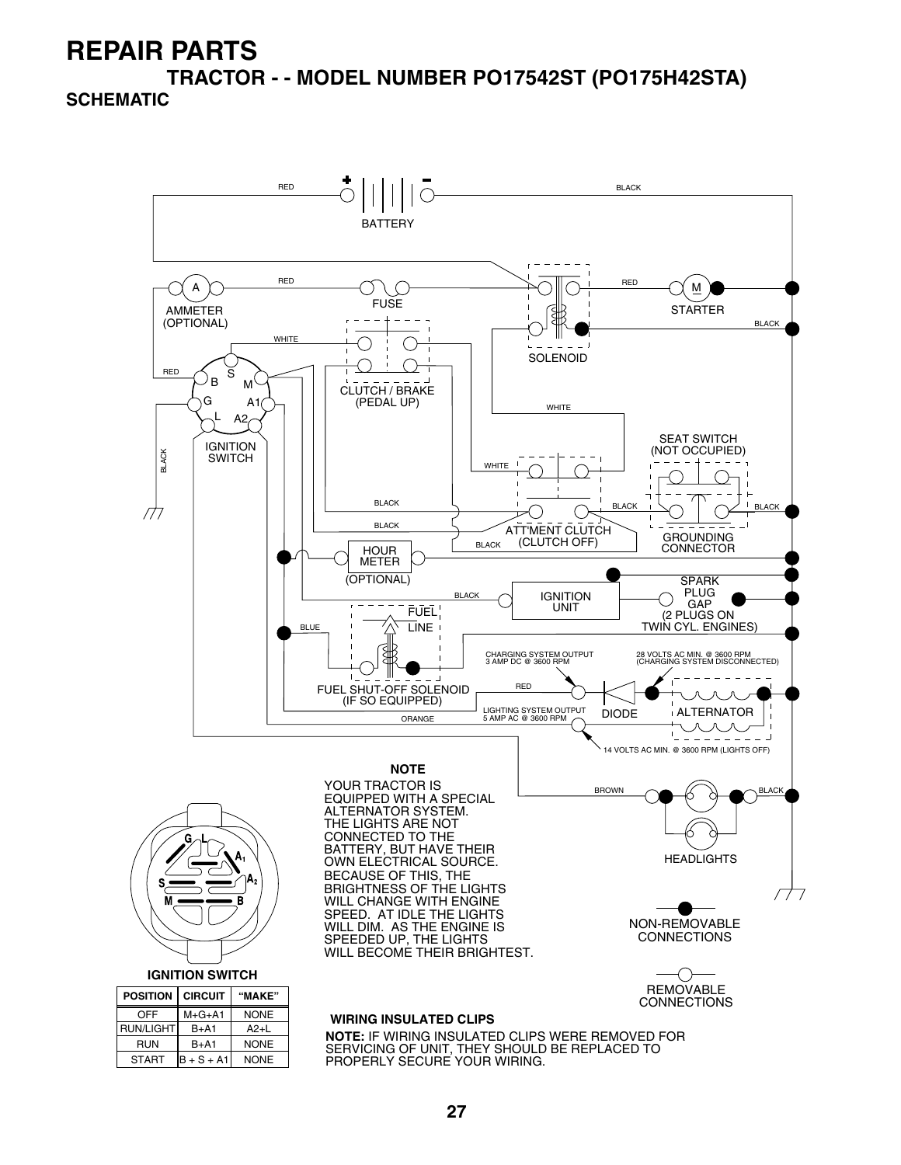**TRACTOR - - MODEL NUMBER PO17542ST (PO175H42STA)**

#### **SCHEMATIC**

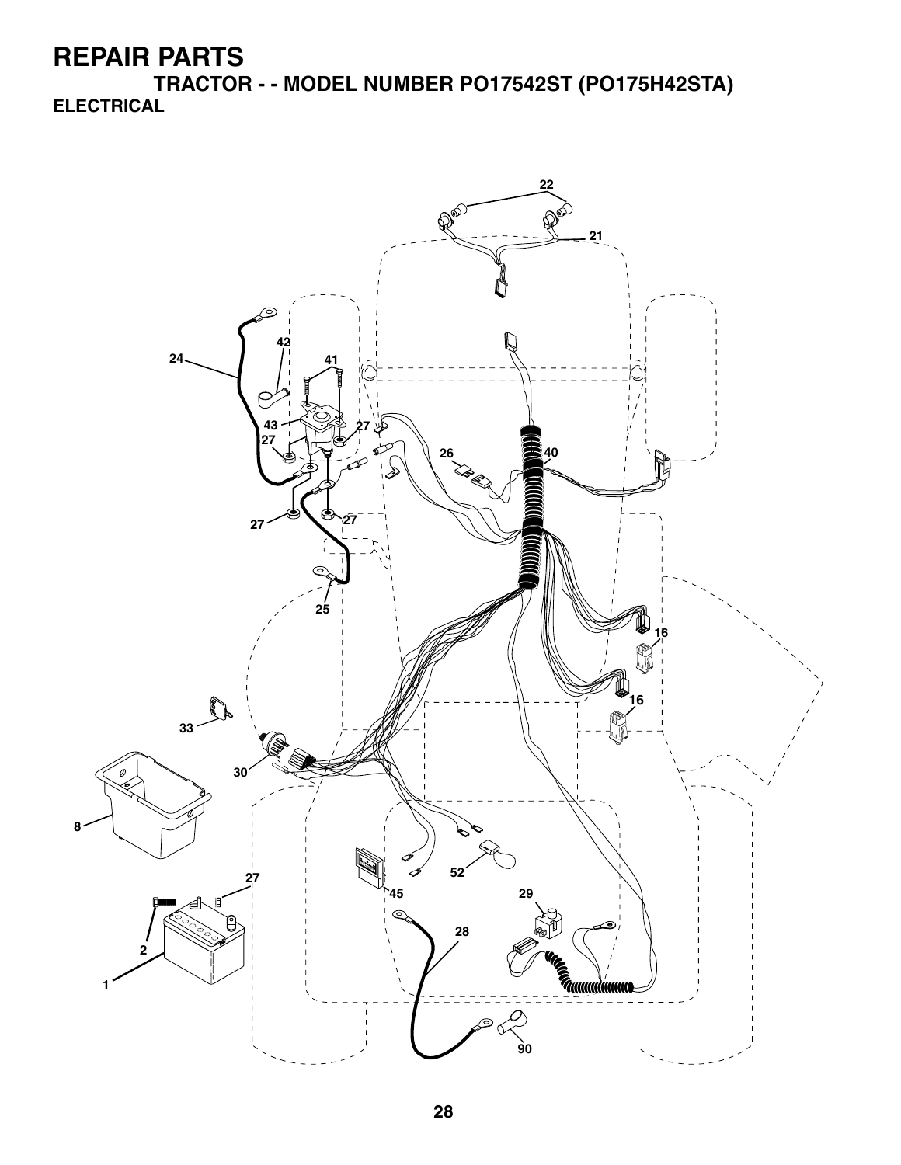**TRACTOR - - MODEL NUMBER PO17542ST (PO175H42STA) ELECTRICAL**

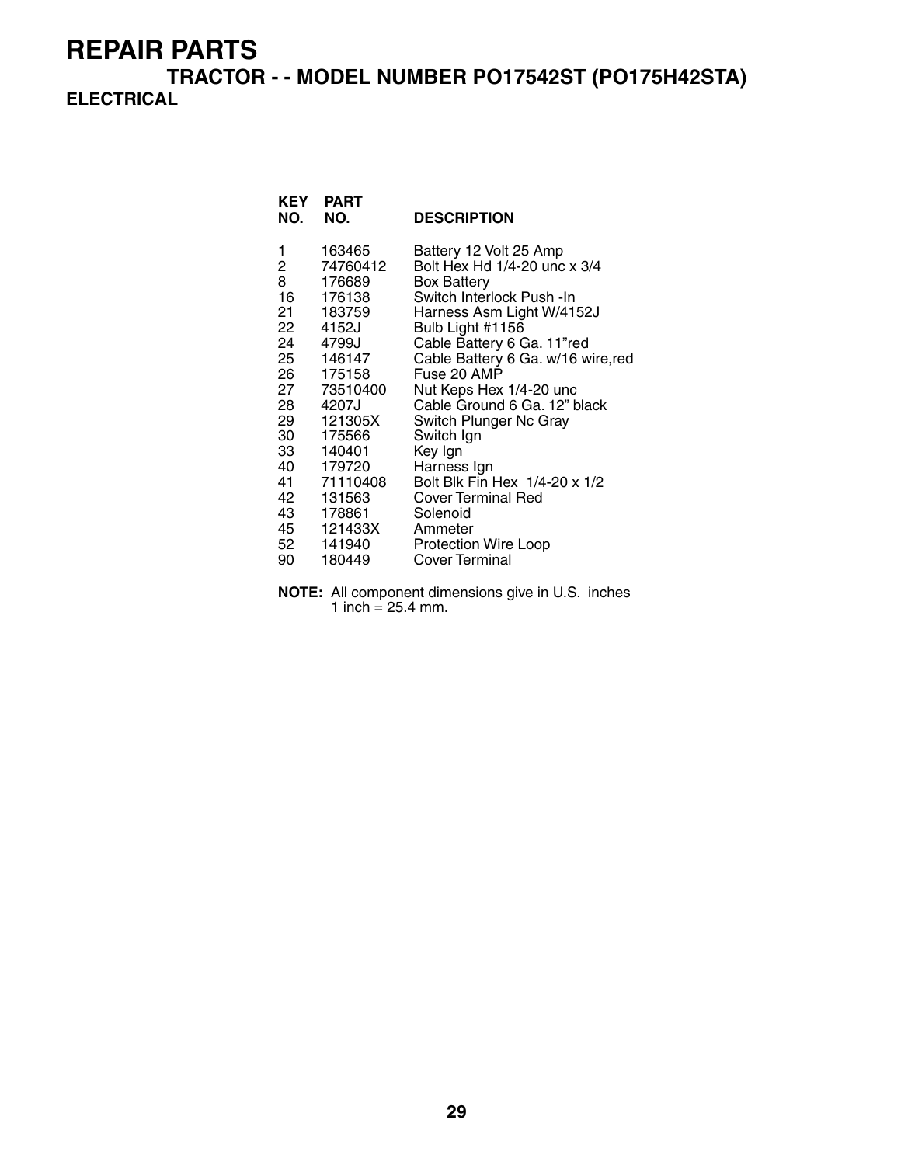**TRACTOR - - MODEL NUMBER PO17542ST (PO175H42STA) ELECTRICAL**

| KEY<br>NO.                                       | <b>PART</b><br>NO.                                                                                                                                                                                                                                         | <b>DESCRIPTION</b>                                                                                                                                                                                                                                                                                                                                                                                                                                                                                                |
|--------------------------------------------------|------------------------------------------------------------------------------------------------------------------------------------------------------------------------------------------------------------------------------------------------------------|-------------------------------------------------------------------------------------------------------------------------------------------------------------------------------------------------------------------------------------------------------------------------------------------------------------------------------------------------------------------------------------------------------------------------------------------------------------------------------------------------------------------|
| 1<br>$^{2}$<br>8<br>22<br>24<br>28 —<br>42<br>90 | 163465<br>74760412<br>176689<br>16 176138<br>21 183759<br>4152J<br>4799J<br>25 146147<br>26 175158<br>27 73510400<br>4207J<br>29 121305X<br>30 175566<br>33 140401<br>40 179720<br>41 71110408<br>131563<br>43 178861<br>45 121433X<br>52 141940<br>180449 | Battery 12 Volt 25 Amp<br>Bolt Hex Hd 1/4-20 unc x 3/4<br><b>Box Battery</b><br>Switch Interlock Push - In<br>Harness Asm Light W/4152J<br>Bulb Light #1156<br>Cable Battery 6 Ga. 11"red<br>Cable Battery 6 Ga. w/16 wire, red<br>Fuse 20 AMP<br>Nut Keps Hex 1/4-20 unc<br>Cable Ground 6 Ga. 12" black<br>Switch Plunger Nc Gray<br>Switch Ign<br>Key Ign<br>Harness Ign<br>Bolt Blk Fin Hex 1/4-20 x 1/2<br><b>Cover Terminal Red</b><br>Solenoid<br>Ammeter<br><b>Protection Wire Loop</b><br>Cover Terminal |
|                                                  |                                                                                                                                                                                                                                                            |                                                                                                                                                                                                                                                                                                                                                                                                                                                                                                                   |

**NOTE:** All component dimensions give in U.S. inches 1 inch =  $25.4$  mm.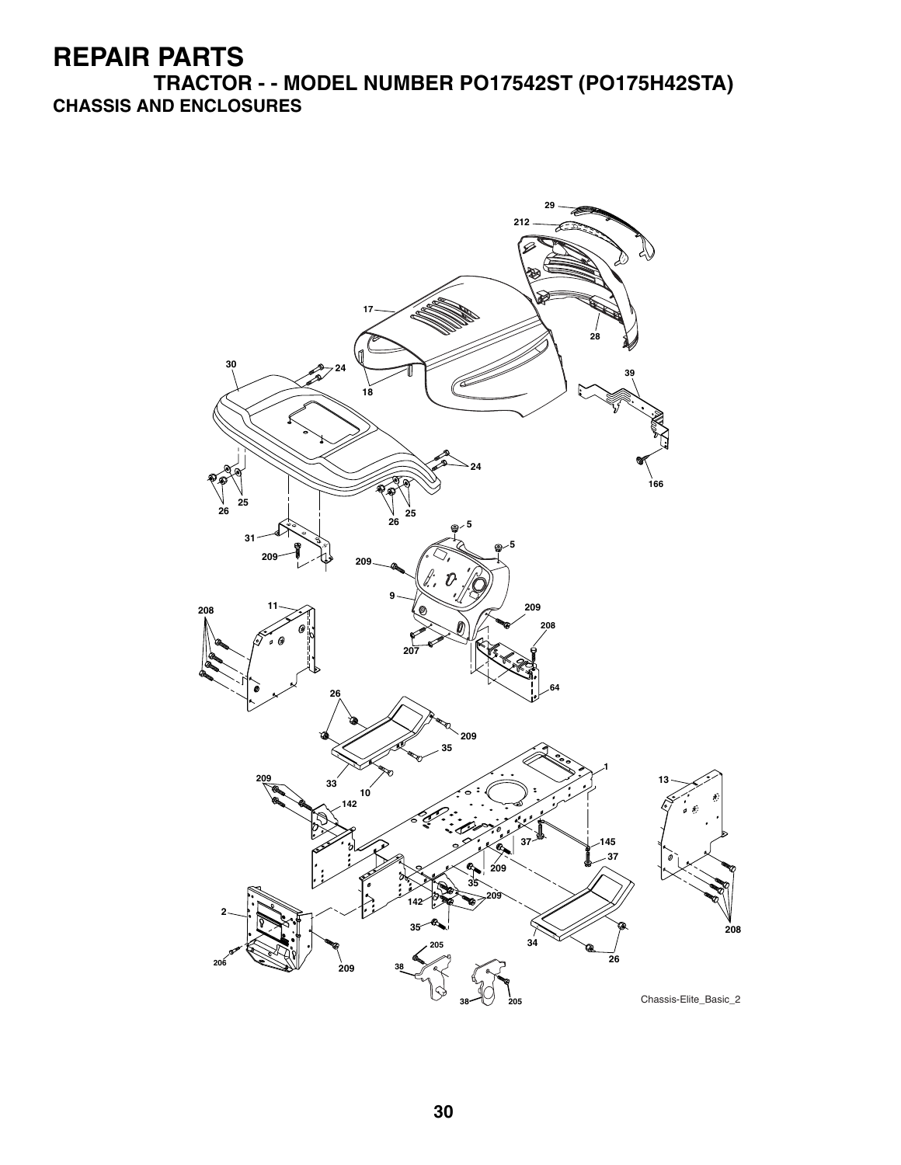**TRACTOR - - MODEL NUMBER PO17542ST (PO175H42STA) CHASSIS AND ENCLOSURES**

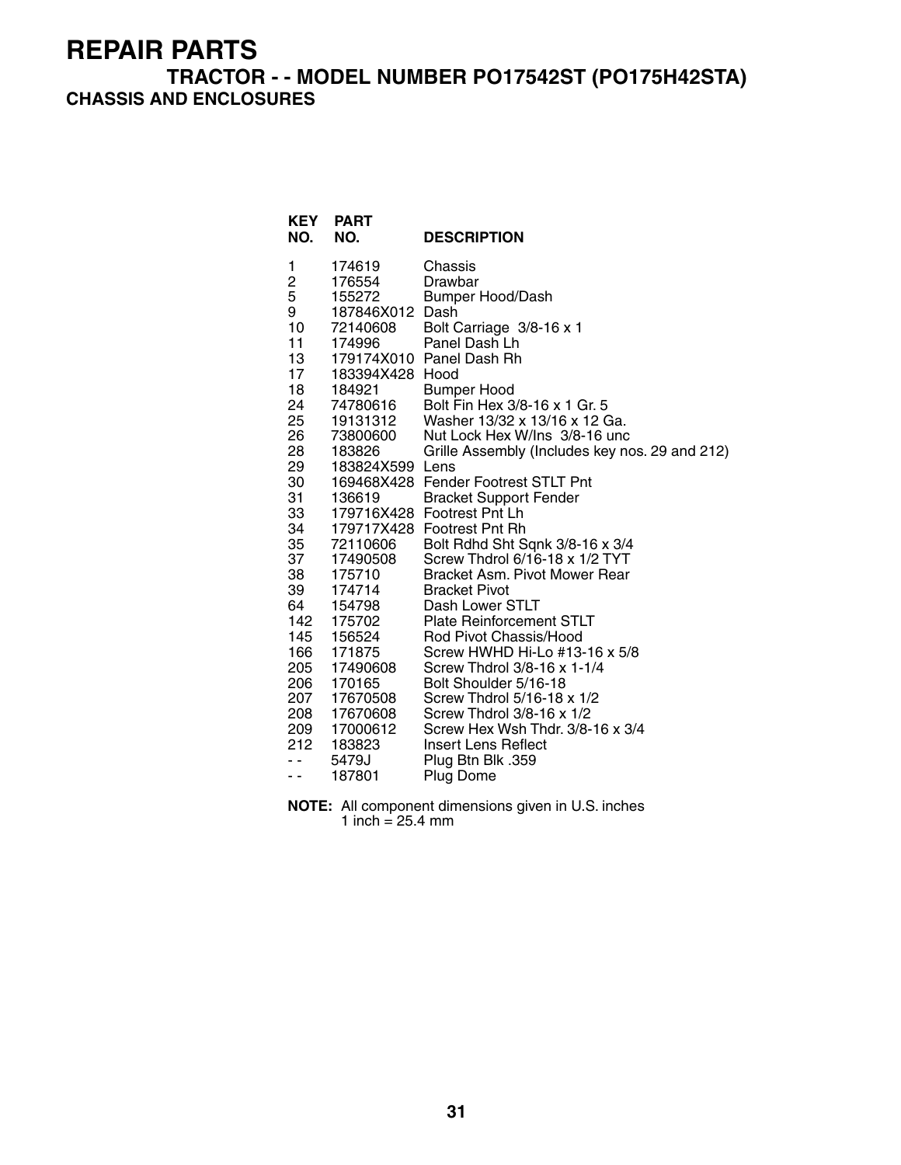#### **TRACTOR - - MODEL NUMBER PO17542ST (PO175H42STA) CHASSIS AND ENCLOSURES**

| <b>KEY</b><br>NO.       | <b>PART</b><br>NO.     | <b>DESCRIPTION</b>                                           |
|-------------------------|------------------------|--------------------------------------------------------------|
| 1                       | 174619                 | Chassis                                                      |
| $\overline{\mathbf{c}}$ | 176554                 | Drawbar                                                      |
| 5                       | 155272                 | <b>Bumper Hood/Dash</b><br>Dash                              |
| 9<br>10                 | 187846X012<br>72140608 | Bolt Carriage 3/8-16 x 1                                     |
| 11                      | 174996                 | Panel Dash Lh                                                |
| 13                      |                        | 179174X010 Panel Dash Rh                                     |
| 17                      | 183394X428 Hood        |                                                              |
| 18                      | 184921                 | <b>Bumper Hood</b>                                           |
| 24                      | 74780616               | Bolt Fin Hex 3/8-16 x 1 Gr. 5                                |
| 25                      | 19131312               | Washer 13/32 x 13/16 x 12 Ga.                                |
| 26                      | 73800600               | Nut Lock Hex W/Ins 3/8-16 unc                                |
| 28                      | 183826                 | Grille Assembly (Includes key nos. 29 and 212)               |
| 29                      | 183824X599 Lens        |                                                              |
| 30<br>31                | 136619                 | 169468X428 Fender Footrest STLT Pnt                          |
| 33                      |                        | <b>Bracket Support Fender</b><br>179716X428 Footrest Pnt Lh  |
| 34                      |                        | 179717X428 Footrest Pnt Rh                                   |
| 35                      | 72110606               | Bolt Rdhd Sht Sqnk 3/8-16 x 3/4                              |
| 37                      | 17490508               | Screw Thdrol 6/16-18 x 1/2 TYT                               |
| 38                      | 175710                 | Bracket Asm. Pivot Mower Rear                                |
| 39                      | 174714                 | <b>Bracket Pivot</b>                                         |
| 64                      | 154798                 | Dash Lower STLT                                              |
| 142                     | 175702                 | <b>Plate Reinforcement STLT</b>                              |
| 145                     | 156524                 | Rod Pivot Chassis/Hood                                       |
| 166<br>205              | 171875<br>17490608     | Screw HWHD Hi-Lo #13-16 x 5/8<br>Screw Thdrol 3/8-16 x 1-1/4 |
| 206                     | 170165                 | Bolt Shoulder 5/16-18                                        |
| 207                     | 17670508               | Screw Thdrol 5/16-18 x 1/2                                   |
| 208                     | 17670608               | Screw Thdrol 3/8-16 x 1/2                                    |
| 209                     | 17000612               | Screw Hex Wsh Thdr. 3/8-16 x 3/4                             |
| 212                     | 183823                 | Insert Lens Reflect                                          |
| . .                     | 5479J                  | Plug Btn Blk .359                                            |
| $ -$                    | 187801                 | Plug Dome                                                    |

**NOTE:** All component dimensions given in U.S. inches 1 inch = 25.4 mm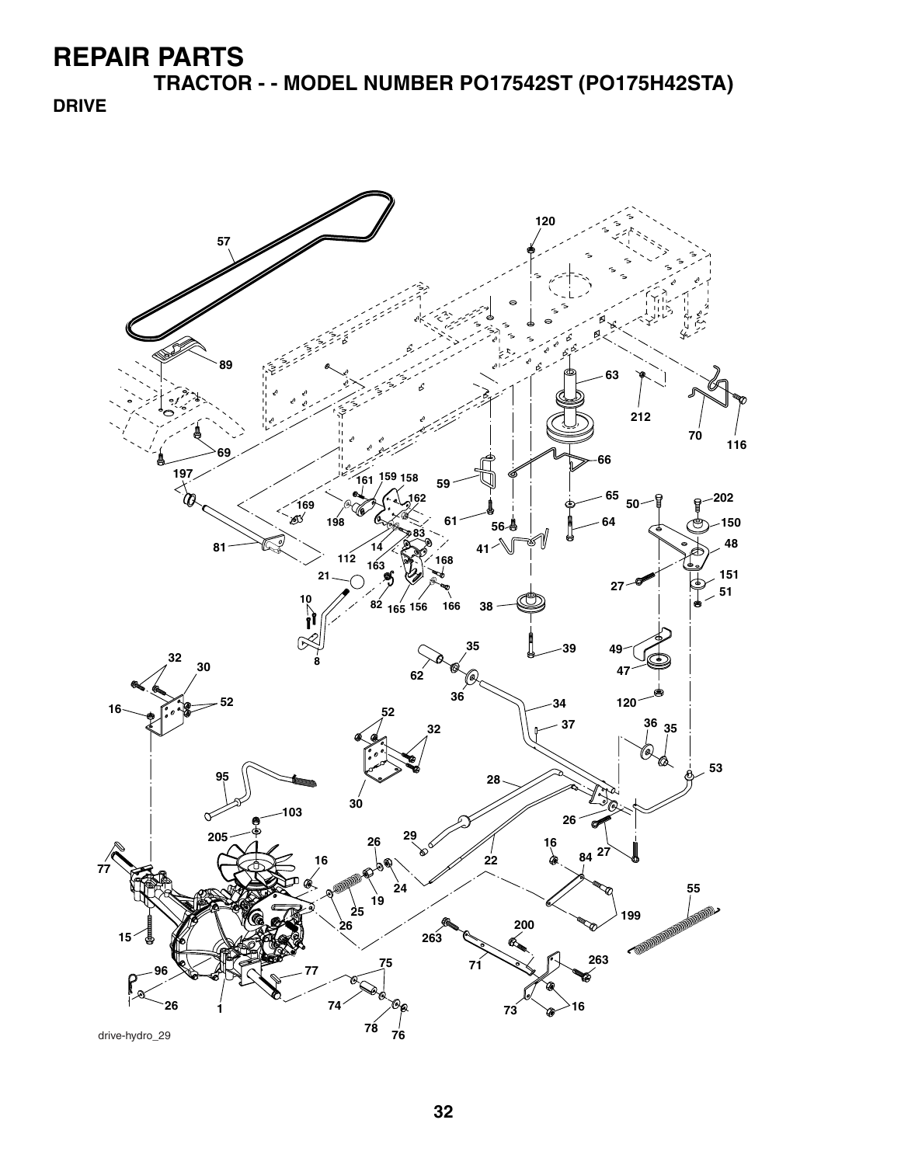**TRACTOR - - MODEL NUMBER PO17542ST (PO175H42STA)**

**DRIVE**

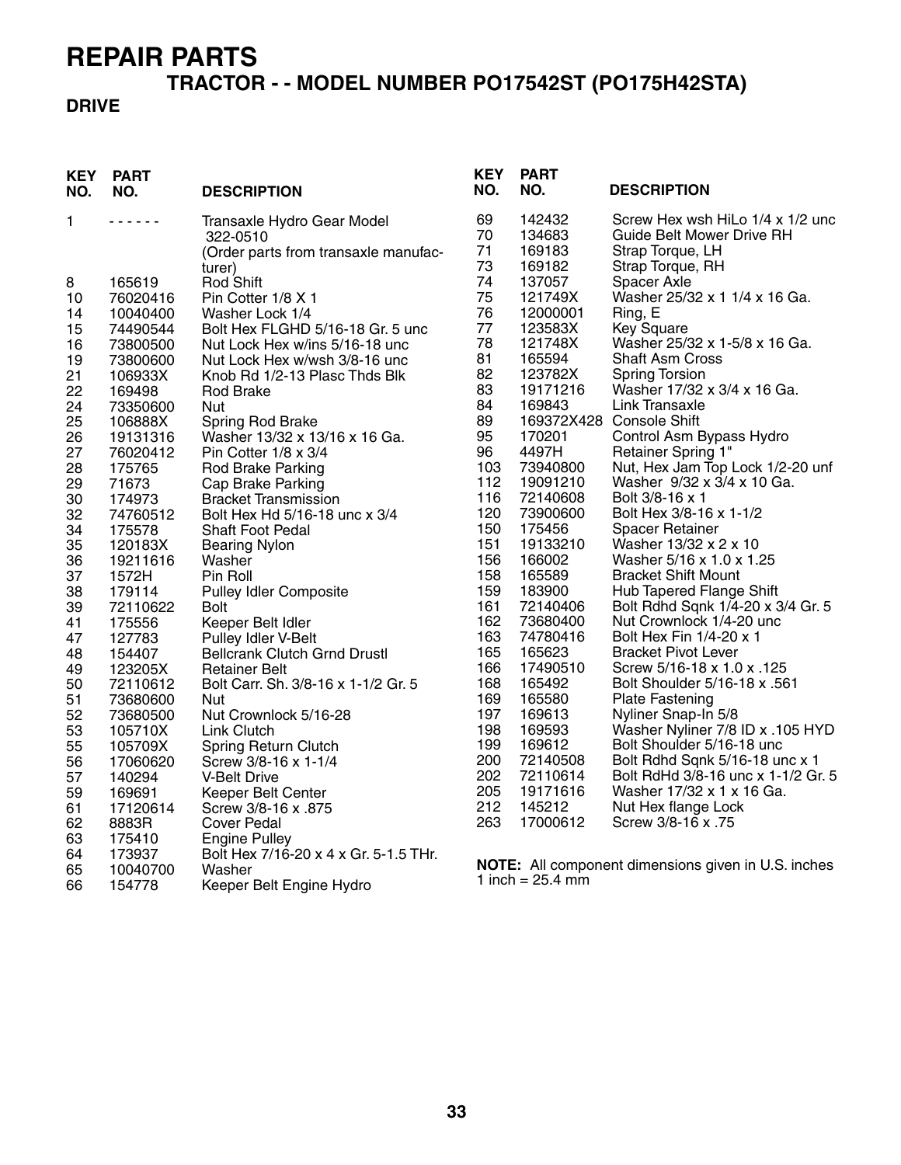# **TRACTOR - - MODEL NUMBER PO17542ST (PO175H42STA)**

#### **DRIVE**

| <b>KEY</b><br>NO. | <b>PART</b><br>NO. | <b>DESCRIPTION</b>                                  | <b>KEY</b><br>NO. | <b>PART</b><br>NO.         | <b>DESCRIPTION</b>                                                   |
|-------------------|--------------------|-----------------------------------------------------|-------------------|----------------------------|----------------------------------------------------------------------|
| 1                 | .                  | Transaxle Hydro Gear Model                          | 69<br>70          | 142432<br>134683           | Screw Hex wsh HiLo 1/4 x 1/2 unc<br><b>Guide Belt Mower Drive RH</b> |
|                   |                    | 322-0510<br>(Order parts from transaxle manufac-    | 71                | 169183                     | Strap Torque, LH                                                     |
|                   |                    | turer)                                              | 73                | 169182                     | Strap Torque, RH                                                     |
| 8                 | 165619             | Rod Shift                                           | 74                | 137057                     | Spacer Axle                                                          |
| 10                | 76020416           | Pin Cotter 1/8 X 1                                  | 75                | 121749X                    | Washer 25/32 x 1 1/4 x 16 Ga.                                        |
| 14                | 10040400           | Washer Lock 1/4                                     | 76                | 12000001                   | Ring, E                                                              |
| 15                | 74490544           | Bolt Hex FLGHD 5/16-18 Gr. 5 unc                    | 77                | 123583X                    | <b>Key Square</b>                                                    |
| 16                | 73800500           | Nut Lock Hex w/ins 5/16-18 unc                      | 78                | 121748X                    | Washer 25/32 x 1-5/8 x 16 Ga.                                        |
| 19                | 73800600           | Nut Lock Hex w/wsh 3/8-16 unc                       | 81                | 165594                     | <b>Shaft Asm Cross</b>                                               |
| 21                | 106933X            | Knob Rd 1/2-13 Plasc Thds Blk                       | 82                | 123782X                    | <b>Spring Torsion</b>                                                |
| 22                | 169498             | Rod Brake                                           | 83                | 19171216                   | Washer 17/32 x 3/4 x 16 Ga.                                          |
| 24                | 73350600           | Nut                                                 | 84                | 169843                     | Link Transaxle                                                       |
| 25                | 106888X            | Spring Rod Brake                                    | 89                |                            | 169372X428 Console Shift                                             |
| 26                | 19131316           | Washer 13/32 x 13/16 x 16 Ga.                       | 95                | 170201                     | Control Asm Bypass Hydro                                             |
| 27                | 76020412           | Pin Cotter $1/8 \times 3/4$                         | 96<br>103         | 4497H<br>73940800          | Retainer Spring 1"<br>Nut, Hex Jam Top Lock 1/2-20 unf               |
| 28<br>29          | 175765<br>71673    | <b>Rod Brake Parking</b>                            | 112               | 19091210                   | Washer 9/32 x 3/4 x 10 Ga.                                           |
| 30                | 174973             | Cap Brake Parking<br><b>Bracket Transmission</b>    | 116               | 72140608                   | Bolt 3/8-16 x 1                                                      |
| 32                | 74760512           | Bolt Hex Hd 5/16-18 unc x 3/4                       | 120               | 73900600                   | Bolt Hex 3/8-16 x 1-1/2                                              |
| 34                | 175578             | Shaft Foot Pedal                                    | 150               | 175456                     | <b>Spacer Retainer</b>                                               |
| 35                | 120183X            | <b>Bearing Nylon</b>                                | 151               | 19133210                   | Washer 13/32 x 2 x 10                                                |
| 36                | 19211616           | Washer                                              | 156               | 166002                     | Washer 5/16 x 1.0 x 1.25                                             |
| 37                | 1572H              | Pin Roll                                            | 158               | 165589                     | <b>Bracket Shift Mount</b>                                           |
| 38                | 179114             | <b>Pulley Idler Composite</b>                       | 159               | 183900                     | <b>Hub Tapered Flange Shift</b>                                      |
| 39                | 72110622           | <b>Bolt</b>                                         | 161               | 72140406                   | Bolt Rdhd Sqnk 1/4-20 x 3/4 Gr. 5                                    |
| 41                | 175556             | Keeper Belt Idler                                   | 162               | 73680400                   | Nut Crownlock 1/4-20 unc                                             |
| 47                | 127783             | Pulley Idler V-Belt                                 | 163               | 74780416                   | Bolt Hex Fin 1/4-20 x 1                                              |
| 48                | 154407             | <b>Bellcrank Clutch Grnd Drustl</b>                 | 165               | 165623                     | <b>Bracket Pivot Lever</b>                                           |
| 49                | 123205X            | <b>Retainer Belt</b>                                | 166               | 17490510                   | Screw 5/16-18 x 1.0 x .125                                           |
| 50                | 72110612           | Bolt Carr. Sh. 3/8-16 x 1-1/2 Gr. 5                 | 168               | 165492                     | Bolt Shoulder 5/16-18 x .561                                         |
| 51                | 73680600           | Nut                                                 | 169               | 165580                     | <b>Plate Fastening</b>                                               |
| 52                | 73680500           | Nut Crownlock 5/16-28                               | 197<br>198        | 169613<br>169593           | Nyliner Snap-In 5/8<br>Washer Nyliner 7/8 ID x .105 HYD              |
| 53<br>55          | 105710X<br>105709X | Link Clutch                                         | 199               | 169612                     | Bolt Shoulder 5/16-18 unc                                            |
| 56                | 17060620           | <b>Spring Return Clutch</b><br>Screw 3/8-16 x 1-1/4 | 200               | 72140508                   | Bolt Rdhd Sqnk 5/16-18 unc x 1                                       |
| 57                | 140294             | <b>V-Belt Drive</b>                                 | 202               | 72110614                   | Bolt RdHd 3/8-16 unc x 1-1/2 Gr. 5                                   |
| 59                | 169691             | Keeper Belt Center                                  | 205               | 19171616                   | Washer 17/32 x 1 x 16 Ga.                                            |
| 61                | 17120614           | Screw 3/8-16 x .875                                 | 212               | 145212                     | Nut Hex flange Lock                                                  |
| 62                | 8883R              | Cover Pedal                                         | 263               | 17000612                   | Screw 3/8-16 x .75                                                   |
| 63                | 175410             | <b>Engine Pulley</b>                                |                   |                            |                                                                      |
| 64                | 173937             | Bolt Hex 7/16-20 x 4 x Gr. 5-1.5 THr.               |                   |                            |                                                                      |
| 65                | 10040700           | Washer                                              |                   |                            | NOTE: All component dimensions given in U.S. inches                  |
| 66                | 154778             | Keeper Belt Engine Hydro                            |                   | 1 inch = $25.4 \text{ mm}$ |                                                                      |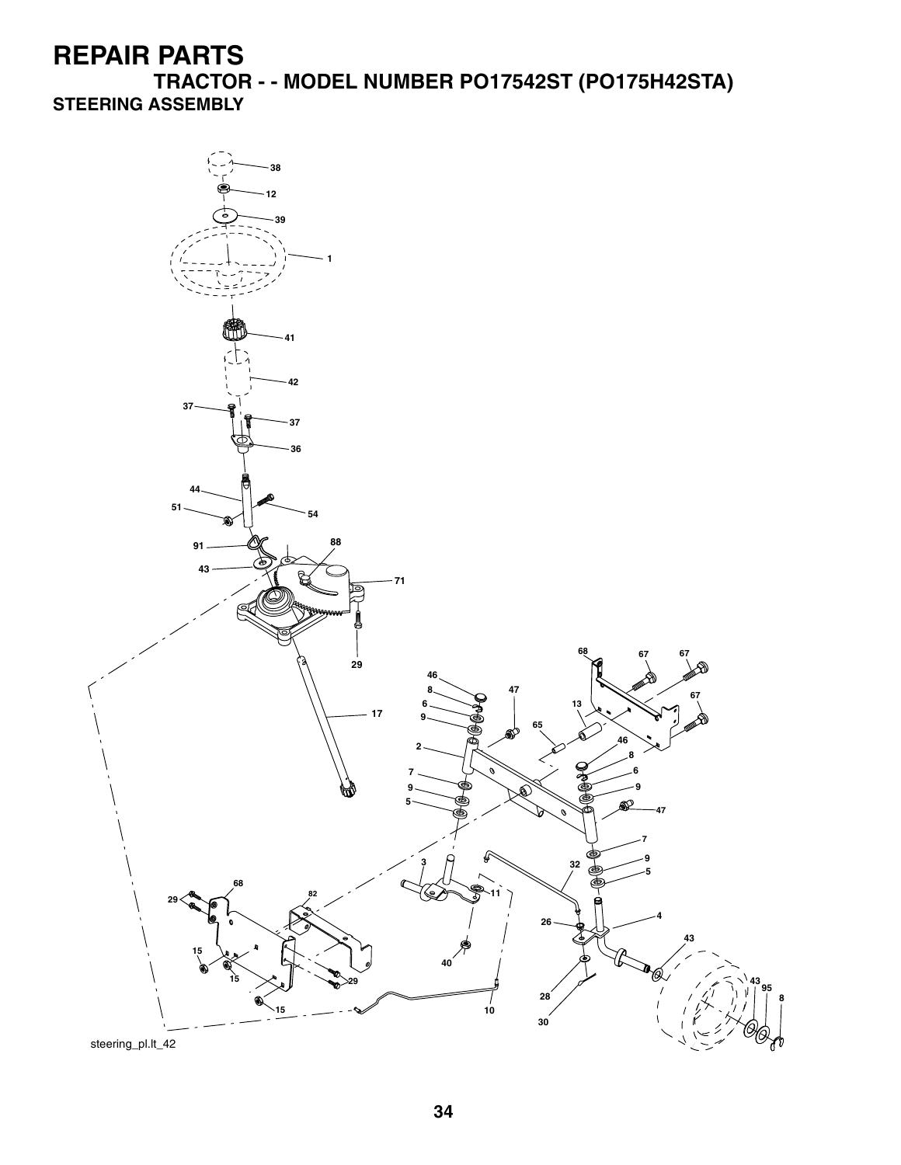**TRACTOR - - MODEL NUMBER PO17542ST (PO175H42STA) STEERING ASSEMBLY**

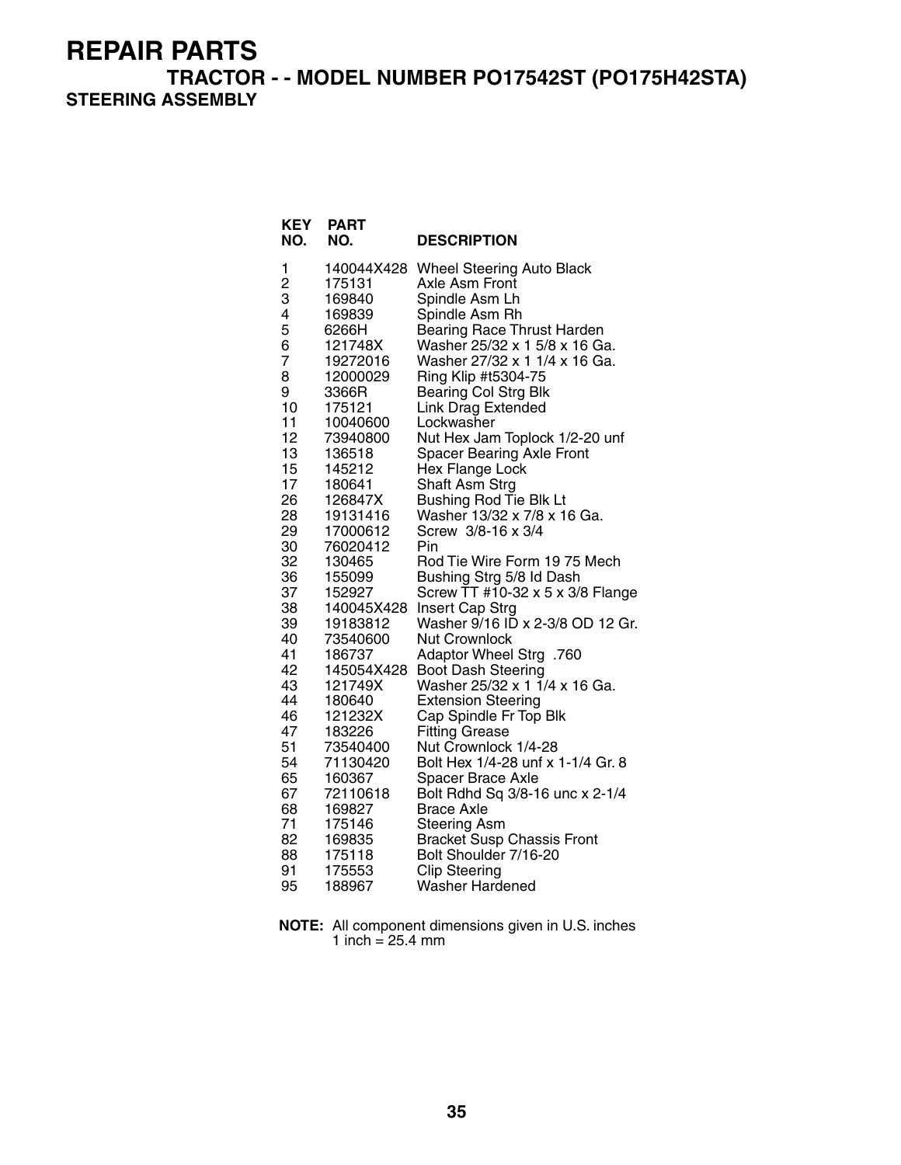**TRACTOR - - MODEL NUMBER PO17542ST (PO175H42STA) STEERING ASSEMBLY**

| <b>KEY</b><br>NO.                                                                                                                                                                                                                                      | PART<br>NO.                                                                                                                                                                                                                                                                                                                                                                                                                                                  | <b>DESCRIPTION</b>                                                                                                                                                                                                                                                                                                                                                                                                                                                                                                                                                                                                                                                                                                                                                                                                                                                                                                                                                                                                                                                                                                                       |
|--------------------------------------------------------------------------------------------------------------------------------------------------------------------------------------------------------------------------------------------------------|--------------------------------------------------------------------------------------------------------------------------------------------------------------------------------------------------------------------------------------------------------------------------------------------------------------------------------------------------------------------------------------------------------------------------------------------------------------|------------------------------------------------------------------------------------------------------------------------------------------------------------------------------------------------------------------------------------------------------------------------------------------------------------------------------------------------------------------------------------------------------------------------------------------------------------------------------------------------------------------------------------------------------------------------------------------------------------------------------------------------------------------------------------------------------------------------------------------------------------------------------------------------------------------------------------------------------------------------------------------------------------------------------------------------------------------------------------------------------------------------------------------------------------------------------------------------------------------------------------------|
| 1<br>$\overline{c}$<br>3<br>4<br>5<br>6<br>7<br>8<br>9<br>10<br>11<br>12<br>13<br>15<br>17<br>26<br>28<br>29<br>30<br>32<br>36<br>37<br>38<br>39<br>40<br>41<br>42<br>43<br>44<br>46<br>47<br>51<br>54<br>65<br>67<br>68<br>71<br>82<br>88<br>91<br>95 | 140044X428<br>175131<br>169840<br>169839<br>6266H<br>121748X<br>19272016<br>12000029<br>3366R<br>175121<br>10040600<br>73940800<br>136518<br>145212<br>180641<br>126847X<br>19131416<br>17000612<br>76020412<br>130465<br>155099<br>152927<br>140045X428<br>19183812<br>73540600<br>186737<br>145054X428<br>121749X<br>180640<br>121232X<br>183226<br>73540400<br>71130420<br>160367<br>72110618<br>169827<br>175146<br>169835<br>175118<br>175553<br>188967 | <b>Wheel Steering Auto Black</b><br>Axle Asm Front<br>Spindle Asm Lh<br>Spindle Asm Rh<br><b>Bearing Race Thrust Harden</b><br>Washer 25/32 x 1 5/8 x 16 Ga.<br>Washer 27/32 x 1 1/4 x 16 Ga.<br>Ring Klip #t5304-75<br><b>Bearing Col Strg Blk</b><br><b>Link Drag Extended</b><br>Lockwasher<br>Nut Hex Jam Toplock 1/2-20 unf<br><b>Spacer Bearing Axle Front</b><br>Hex Flange Lock<br>Shaft Asm Strg<br><b>Bushing Rod Tie Blk Lt</b><br>Washer 13/32 x 7/8 x 16 Ga.<br>Screw 3/8-16 x 3/4<br>Pin<br>Rod Tie Wire Form 19 75 Mech<br>Bushing Strg 5/8 Id Dash<br>Screw TT #10-32 x 5 x 3/8 Flange<br>Insert Cap Strg<br>Washer 9/16 ID x 2-3/8 OD 12 Gr.<br><b>Nut Crownlock</b><br>760. Adaptor Wheel Strg<br><b>Boot Dash Steering</b><br>Washer 25/32 x 1 1/4 x 16 Ga.<br><b>Extension Steering</b><br>Cap Spindle Fr Top Blk<br><b>Fitting Grease</b><br>Nut Crownlock 1/4-28<br>Bolt Hex 1/4-28 unf x 1-1/4 Gr. 8<br>Spacer Brace Axle<br>Bolt Rdhd Sq 3/8-16 unc x 2-1/4<br><b>Brace Axle</b><br><b>Steering Asm</b><br><b>Bracket Susp Chassis Front</b><br>Bolt Shoulder 7/16-20<br><b>Clip Steering</b><br>Washer Hardened |
|                                                                                                                                                                                                                                                        |                                                                                                                                                                                                                                                                                                                                                                                                                                                              |                                                                                                                                                                                                                                                                                                                                                                                                                                                                                                                                                                                                                                                                                                                                                                                                                                                                                                                                                                                                                                                                                                                                          |

**NOTE:** All component dimensions given in U.S. inches 1 inch = 25.4 mm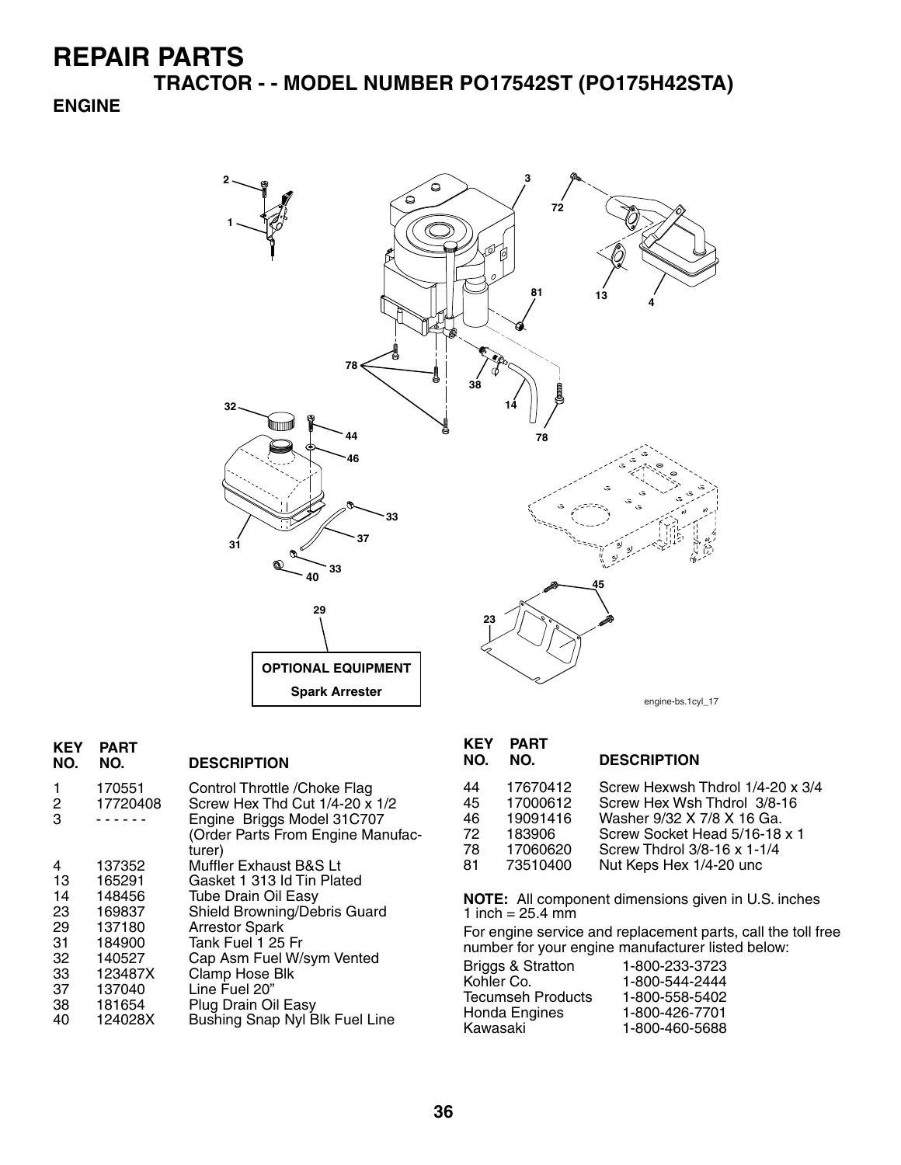**TRACTOR - - MODEL NUMBER PO17542ST (PO175H42STA)**

#### **ENGINE**



| <b>KEY</b><br>NO. | <b>PART</b><br>NO. | <b>DESCRIPTION</b>                                                                                                                           |
|-------------------|--------------------|----------------------------------------------------------------------------------------------------------------------------------------------|
| 1<br>2<br>3       | 170551<br>17720408 | Control Throttle / Choke Flag<br>Screw Hex Thd Cut 1/4-20 x 1/2<br>Engine Briggs Model 31C707<br>(Order Parts From Engine Manufac-<br>turer) |
| 4                 | 137352             | Muffler Exhaust B&S Lt                                                                                                                       |
| 13                | 165291             | Gasket 1 313 Id Tin Plated                                                                                                                   |
| 14                | 148456             | <b>Tube Drain Oil Easy</b>                                                                                                                   |
| 23                | 169837             | Shield Browning/Debris Guard                                                                                                                 |
| 29                | 137180             | <b>Arrestor Spark</b>                                                                                                                        |
| 31                | 184900             | Tank Fuel 1 25 Fr                                                                                                                            |
| 32                | 140527             | Cap Asm Fuel W/sym Vented                                                                                                                    |
| 33                | 123487X            | Clamp Hose Blk                                                                                                                               |
| 37                | 137040             | Line Fuel 20"                                                                                                                                |
| 38                | 181654             | Plug Drain Oil Easy                                                                                                                          |
| 40                | 124028X            | Bushing Snap Nyl Blk Fuel Line                                                                                                               |

# **KEY PART**

#### **NO. NO. DESCRIPTION**

| 44 | 17670412 | Screw Hexwsh Thdrol 1/4-20 x 3/4 |
|----|----------|----------------------------------|
| 45 | 17000612 | Screw Hex Wsh Thdrol 3/8-16      |
| 46 | 19091416 | Washer 9/32 X 7/8 X 16 Ga.       |
| 72 | 183906   | Screw Socket Head 5/16-18 x 1    |
| 78 | 17060620 | Screw Thdrol 3/8-16 x 1-1/4      |
| 81 | 73510400 | Nut Keps Hex 1/4-20 unc          |
|    |          |                                  |

**NOTE:** All component dimensions given in U.S. inches 1 inch =  $25.4 \, \text{mm}$ 

For engine service and replacement parts, call the toll free number for your engine manufacturer listed below:

| 1-800-233-3723 |
|----------------|
| 1-800-544-2444 |
| 1-800-558-5402 |
| 1-800-426-7701 |
| 1-800-460-5688 |
|                |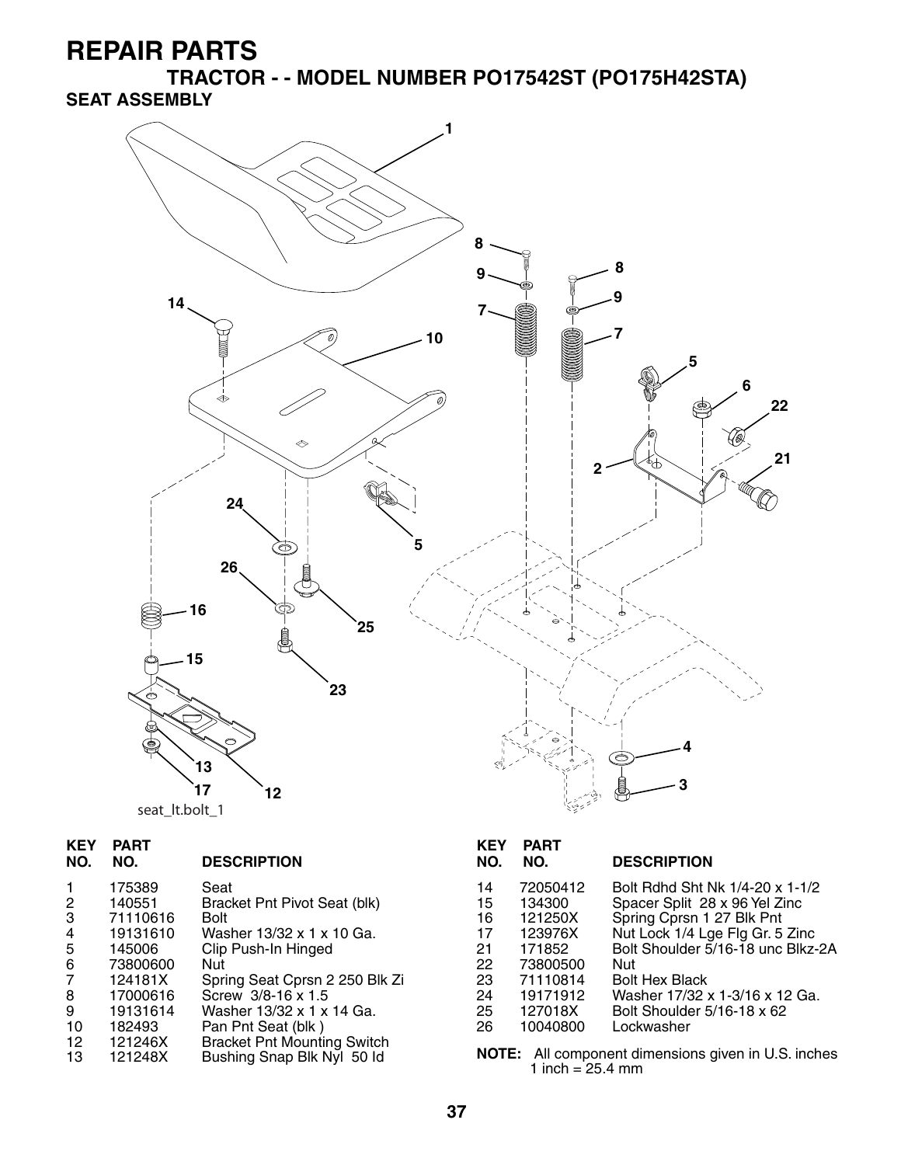**TRACTOR - - MODEL NUMBER PO17542ST (PO175H42STA) SEAT ASSEMBLY**



| <b>KEY</b><br>NO. | <b>PART</b><br>NO. | <b>DESCRIPTION</b>                 | <b>KEY</b><br>NO. | <b>PART</b><br>NO. | <b>DESCRIPTION</b>                                  |
|-------------------|--------------------|------------------------------------|-------------------|--------------------|-----------------------------------------------------|
| 1.                | 175389             | Seat                               | 14                | 72050412           | Bolt Rdhd Sht Nk 1/4-20 x 1-1/2                     |
| $\overline{2}$    | 140551             | Bracket Pnt Pivot Seat (blk)       | 15                | 134300             | Spacer Split 28 x 96 Yel Zinc                       |
| 3                 | 71110616           | <b>Bolt</b>                        | 16                | 121250X            | Spring Cprsn 1 27 Blk Pnt                           |
| 4                 | 19131610           | Washer 13/32 x 1 x 10 Ga.          | 17                | 123976X            | Nut Lock 1/4 Lge Flg Gr. 5 Zinc                     |
| 5                 | 145006             | Clip Push-In Hinged                | 21                | 171852             | Bolt Shoulder 5/16-18 unc Blkz-2A                   |
| 6                 | 73800600           | Nut                                | 22                | 73800500           | <b>Nut</b>                                          |
| $\overline{7}$    | 124181X            | Spring Seat Cprsn 2 250 Blk Zi     | 23                | 71110814           | <b>Bolt Hex Black</b>                               |
| 8                 | 17000616           | Screw 3/8-16 x 1.5                 | 24                | 19171912           | Washer 17/32 x 1-3/16 x 12 Ga.                      |
| 9                 | 19131614           | Washer 13/32 x 1 x 14 Ga.          | 25                | 127018X            | Bolt Shoulder 5/16-18 x 62                          |
| 10                | 182493             | Pan Pnt Seat (blk)                 | 26                | 10040800           | Lockwasher                                          |
| 12 <sup>2</sup>   | 121246X            | <b>Bracket Pnt Mounting Switch</b> |                   |                    |                                                     |
| 13                | 121248X            | Bushing Snap Blk Nyl 50 ld         |                   | 1 inch = $25.4$ mm | NOTE: All component dimensions given in U.S. inches |

| <b>KEY</b><br>NO.                                        | <b>PART</b><br>NO.                                                                                            | <b>DESCRIPTION</b>                                                                                                                                                                                                                                                                  |
|----------------------------------------------------------|---------------------------------------------------------------------------------------------------------------|-------------------------------------------------------------------------------------------------------------------------------------------------------------------------------------------------------------------------------------------------------------------------------------|
| 14<br>15<br>16<br>17<br>21<br>22<br>23<br>24<br>25<br>26 | 72050412<br>134300<br>121250X<br>123976X<br>171852<br>73800500<br>71110814<br>19171912<br>127018X<br>10040800 | Bolt Rdhd Sht Nk 1/4-20 x 1-1/2<br>Spacer Split 28 x 96 Yel Zinc<br>Spring Cprsn 1 27 Blk Pnt<br>Nut Lock 1/4 Lge Flg Gr. 5 Zinc<br>Bolt Shoulder 5/16-18 unc Blkz-2A<br>Nut<br><b>Bolt Hex Black</b><br>Washer 17/32 x 1-3/16 x 12 Ga.<br>Bolt Shoulder 5/16-18 x 62<br>Lockwasher |
|                                                          |                                                                                                               |                                                                                                                                                                                                                                                                                     |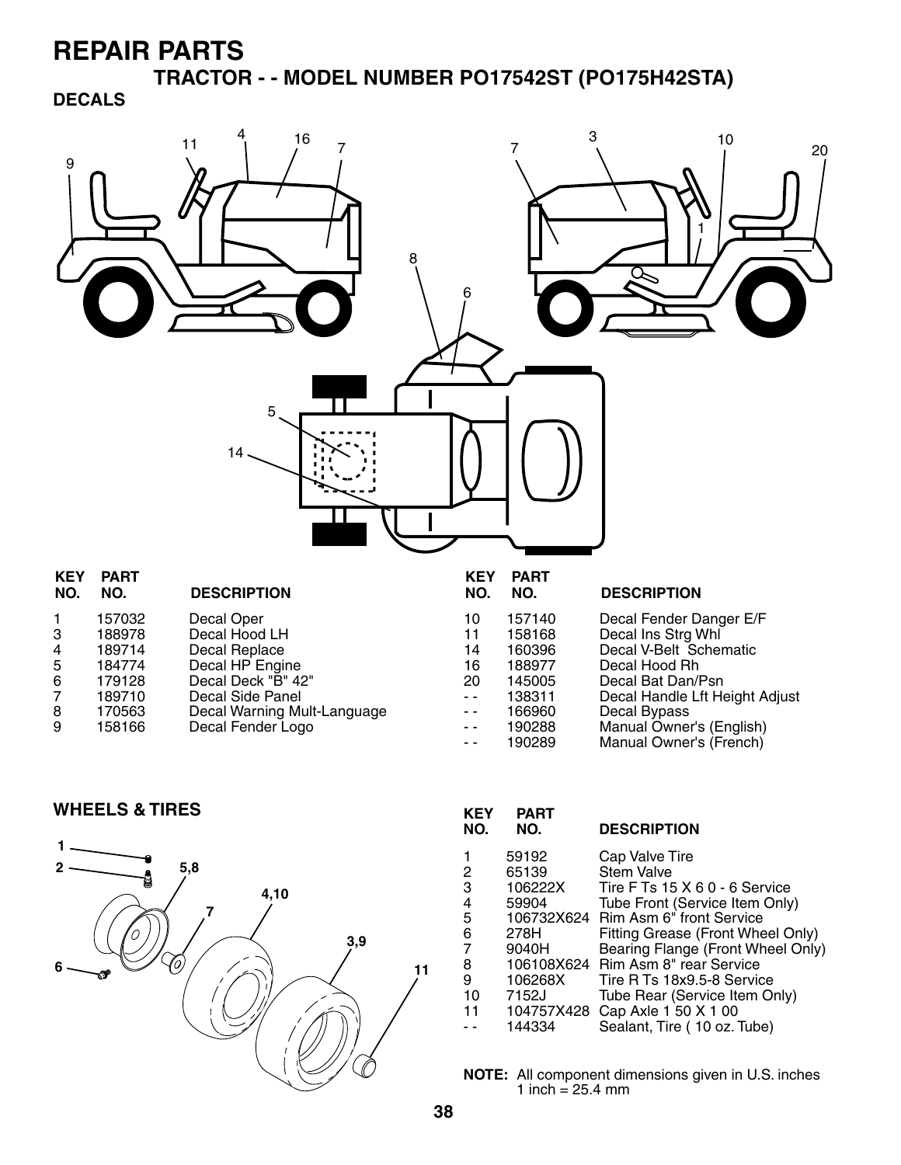**TRACTOR - - MODEL NUMBER PO17542ST (PO175H42STA) DECALS**



- 7 189710 Decal Side Panel<br>8 170563 Decal Warning Mu 8 170563 Decal Warning Mult-Language
- Decal Fender Logo

- -- 166960 Decal Bypass<br>-- 190288 Manual Owne - 190288 Manual Owner's (English)<br>-- 190289 Manual Owner's (French)
	- Manual Owner's (French)

**WHEELS & TIRES KEY PART** 



| .<br>NO. | .<br>NO.   | <b>DESCRIPTION</b>                 |
|----------|------------|------------------------------------|
| 1        | 59192      | Cap Valve Tire                     |
| 2        | 65139      | <b>Stem Valve</b>                  |
| 3        | 106222X    | Tire F Ts 15 X 6 0 - 6 Service     |
| 4        | 59904      | Tube Front (Service Item Only)     |
| 5        | 106732X624 | Rim Asm 6" front Service           |
| 6        | 278H       | Fitting Grease (Front Wheel Only)  |
| 7        | 9040H      | Bearing Flange (Front Wheel Only)  |
| 8        |            | 106108X624 Rim Asm 8" rear Service |
| 9        | 106268X    | Tire R Ts 18x9.5-8 Service         |
| 10       | 7152J      | Tube Rear (Service Item Only)      |
| 11       | 104757X428 | Cap Axle 1 50 X 1 00               |
|          | 144334     | Sealant, Tire (10 oz. Tube)        |
|          |            |                                    |

**NOTE:** All component dimensions given in U.S. inches 1 inch =  $25.4 \, \text{mm}$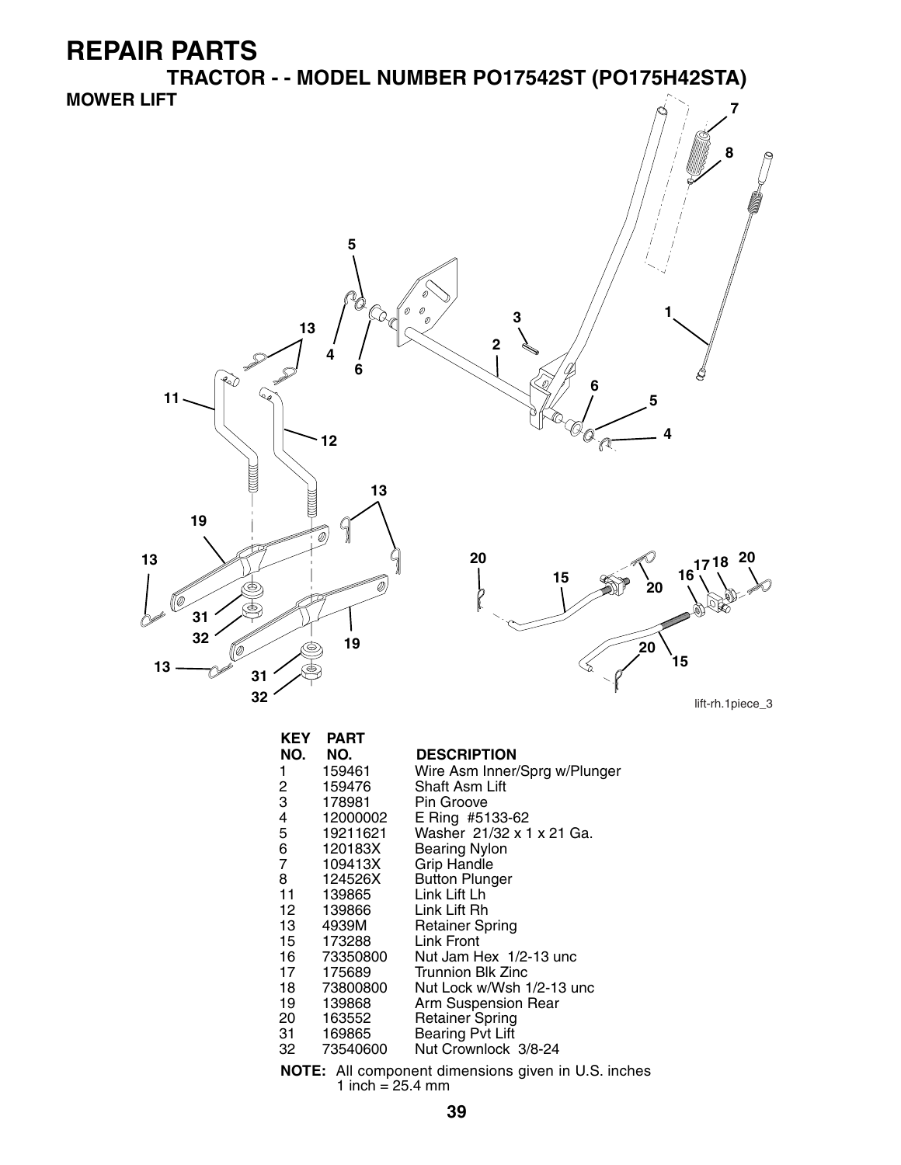**TRACTOR - - MODEL NUMBER PO17542ST (PO175H42STA) MOWER LIFT 7**



| <b>KEY</b>    | <b>PART</b>  |                                                            |
|---------------|--------------|------------------------------------------------------------|
| NO.           | NO.          | <b>DESCRIPTION</b>                                         |
| 1             | 159461       | Wire Asm Inner/Sprg w/Plunger                              |
|               | 159476       | Shaft Asm Lift                                             |
| $\frac{2}{3}$ | 178981       | Pin Groove                                                 |
|               | 12000002     | E Ring #5133-62                                            |
| 4<br>5        | 19211621     | Washer 21/32 x 1 x 21 Ga.                                  |
| 6<br>7        | 120183X      | <b>Bearing Nylon</b>                                       |
|               | 109413X      | <b>Grip Handle</b>                                         |
| 8             | 124526X      | <b>Button Plunger</b>                                      |
| 11            | 139865       | Link Lift Lh                                               |
| 12            | 139866       | Link Lift Rh                                               |
| 13 —          | 4939M        | <b>Retainer Spring</b>                                     |
| 15            | 173288       | Link Front                                                 |
|               | 16  73350800 | Nut Jam Hex 1/2-13 unc                                     |
| 17            | 175689       | Trunnion Blk Zinc                                          |
|               | 18 73800800  | Nut Lock w/Wsh 1/2-13 unc                                  |
| 19            | 139868       | Arm Suspension Rear                                        |
|               | 20 163552    | <b>Retainer Spring</b>                                     |
|               | 31 169865    | <b>Bearing Pvt Lift</b>                                    |
|               | 32 73540600  | Nut Crownlock 3/8-24                                       |
|               |              | <b>NOTE:</b> All component dimensions given in U.S. inches |

All component dimer<br>1 inch =  $25.4$  mm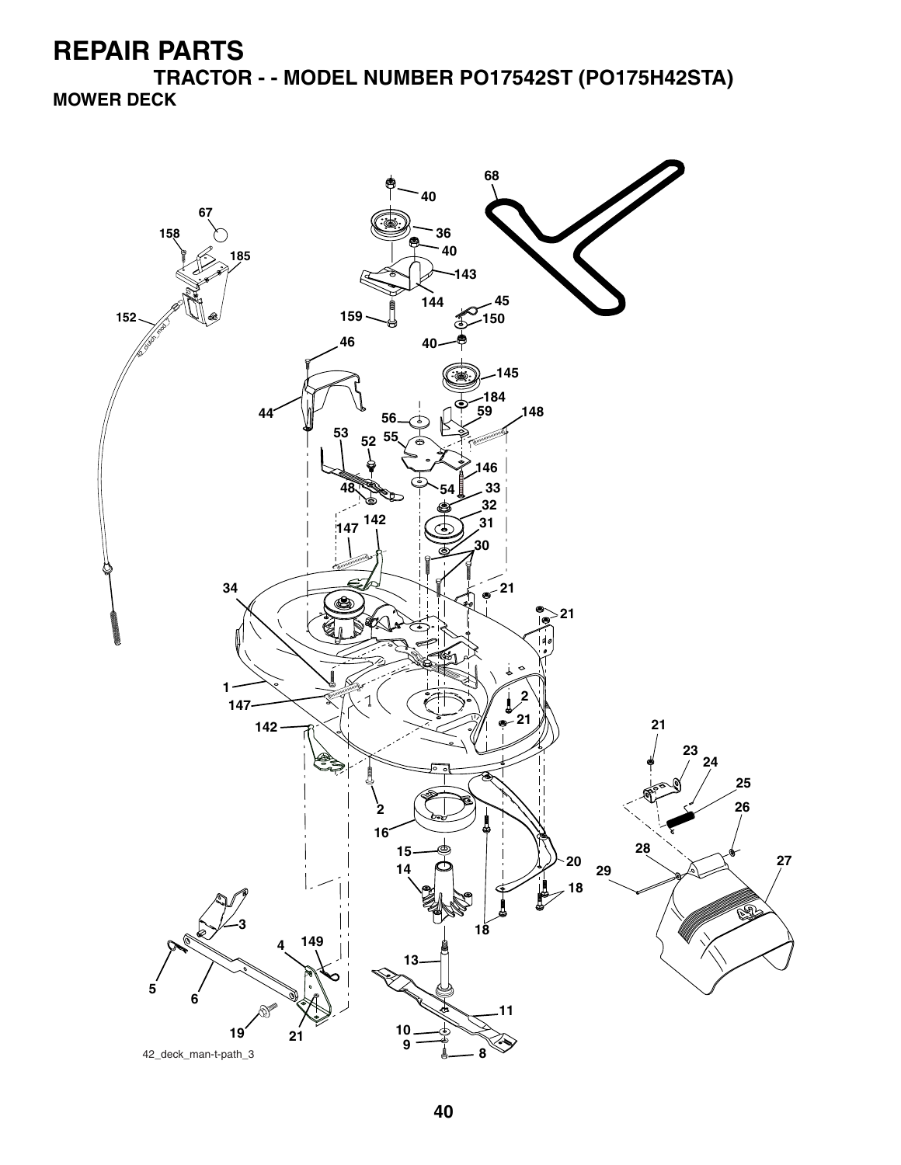**TRACTOR - - MODEL NUMBER PO17542ST (PO175H42STA) MOWER DECK**